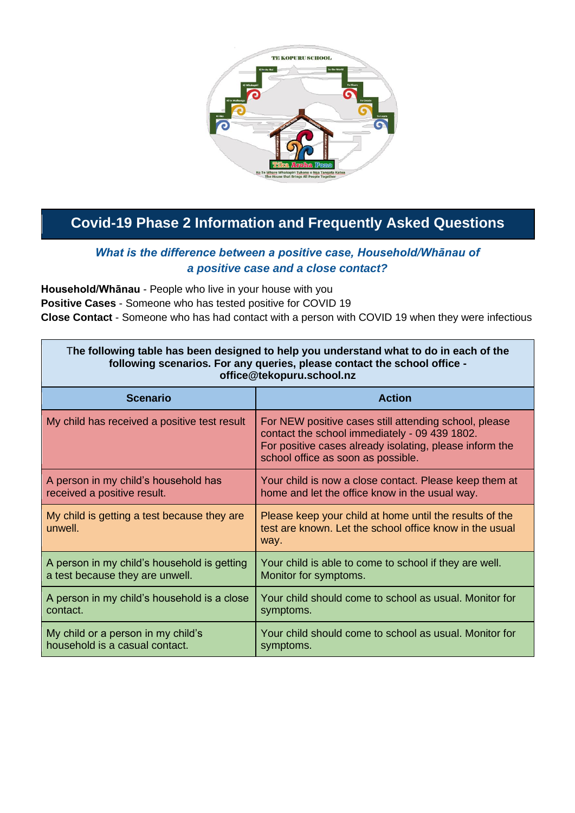

## **Covid-19 Phase 2 Information and Frequently Asked Questions**

#### *What is the difference between a positive case, Household/Whānau of a positive case and a close contact?*

**Household/Whānau** - People who live in your house with you **Positive Cases** - Someone who has tested positive for COVID 19 **Close Contact** - Someone who has had contact with a person with COVID 19 when they were infectious

| The following table has been designed to help you understand what to do in each of the<br>following scenarios. For any queries, please contact the school office -<br>office@tekopuru.school.nz |                                                                                                                                                                                                         |
|-------------------------------------------------------------------------------------------------------------------------------------------------------------------------------------------------|---------------------------------------------------------------------------------------------------------------------------------------------------------------------------------------------------------|
| <b>Scenario</b>                                                                                                                                                                                 | <b>Action</b>                                                                                                                                                                                           |
| My child has received a positive test result                                                                                                                                                    | For NEW positive cases still attending school, please<br>contact the school immediately - 09 439 1802.<br>For positive cases already isolating, please inform the<br>school office as soon as possible. |
| A person in my child's household has                                                                                                                                                            | Your child is now a close contact. Please keep them at                                                                                                                                                  |
| received a positive result.                                                                                                                                                                     | home and let the office know in the usual way.                                                                                                                                                          |
| My child is getting a test because they are<br>unwell.                                                                                                                                          | Please keep your child at home until the results of the<br>test are known. Let the school office know in the usual<br>way.                                                                              |
| A person in my child's household is getting                                                                                                                                                     | Your child is able to come to school if they are well.                                                                                                                                                  |
| a test because they are unwell.                                                                                                                                                                 | Monitor for symptoms.                                                                                                                                                                                   |
| A person in my child's household is a close                                                                                                                                                     | Your child should come to school as usual. Monitor for                                                                                                                                                  |
| contact.                                                                                                                                                                                        | symptoms.                                                                                                                                                                                               |
| My child or a person in my child's                                                                                                                                                              | Your child should come to school as usual. Monitor for                                                                                                                                                  |
| household is a casual contact.                                                                                                                                                                  | symptoms.                                                                                                                                                                                               |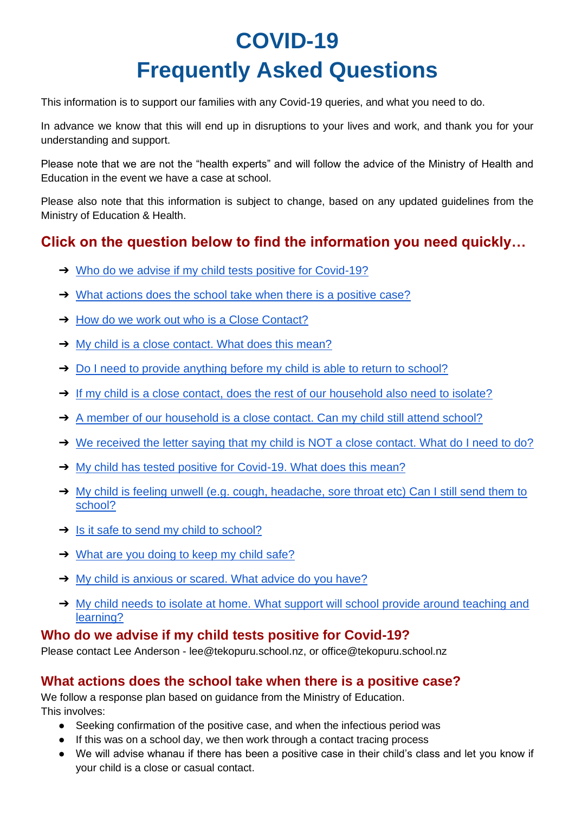# **COVID-19 Frequently Asked Questions**

This information is to support our families with any Covid-19 queries, and what you need to do.

In advance we know that this will end up in disruptions to your lives and work, and thank you for your understanding and support.

Please note that we are not the "health experts" and will follow the advice of the Ministry of Health and Education in the event we have a case at school.

Please also note that this information is subject to change, based on any updated guidelines from the Ministry of Education & Health.

## **Click on the question below to find the information you need quickly…**

- ➔ [Who do we advise if my child tests positive for Covid-19?](#page-1-0)
- $\rightarrow$  [What actions does the school take when there is a positive case?](#page-1-1)
- **→ [How do we work out who is a Close Contact?](#page-2-0)**
- ➔ [My child is a close contact. What does this mean?](#page-2-1)
- → [Do I need to provide anything before my child is able to return to school?](#page-2-2)
- → [If my child is a close contact, does the rest of our household also need to isolate?](#page-2-3)
- → [A member of our household is a close contact. Can my child still attend school?](#page-2-4)
- → [We received the letter saying that my child is NOT a close contact. What do I need to do?](#page-2-5)
- → [My child has tested positive for Covid-19. What does this mean?](#page-2-6)
- → My child is feeling unwell (e.g. cough, headache, sore throat etc) Can I still send them to [school?](#page-2-7)
- $\rightarrow$  [Is it safe to send my child to school?](#page-3-0)
- ➔ [What are you doing to keep my child safe?](#page-3-1)
- → [My child is anxious or scared. What advice do you have?](#page-3-2)
- → My child needs to isolate at home. What support will school provide around teaching and [learning?](#page-3-3)

#### <span id="page-1-0"></span>**Who do we advise if my child tests positive for Covid-19?**

Please contact Lee Anderson - lee@tekopuru.school.nz, or office@tekopuru.school.nz

#### <span id="page-1-1"></span>**What actions does the school take when there is a positive case?**

We follow a response plan based on guidance from the Ministry of Education. This involves:

- Seeking confirmation of the positive case, and when the infectious period was
- If this was on a school day, we then work through a contact tracing process
- We will advise whanau if there has been a positive case in their child's class and let you know if your child is a close or casual contact.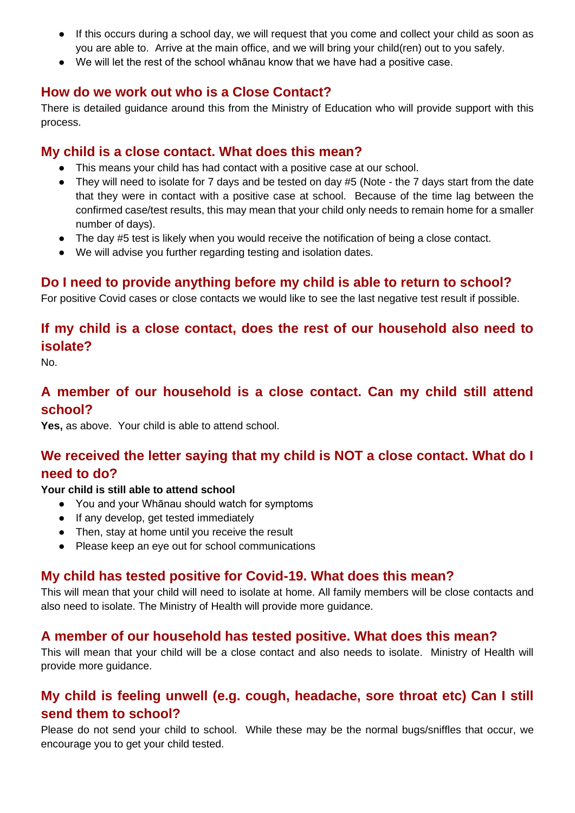- If this occurs during a school day, we will request that you come and collect your child as soon as you are able to. Arrive at the main office, and we will bring your child(ren) out to you safely.
- We will let the rest of the school whānau know that we have had a positive case.

#### <span id="page-2-0"></span>**How do we work out who is a Close Contact?**

There is detailed guidance around this from the Ministry of Education who will provide support with this process.

#### <span id="page-2-1"></span>**My child is a close contact. What does this mean?**

- This means your child has had contact with a positive case at our school.
- They will need to isolate for 7 days and be tested on day #5 (Note the 7 days start from the date that they were in contact with a positive case at school. Because of the time lag between the confirmed case/test results, this may mean that your child only needs to remain home for a smaller number of days).
- The day #5 test is likely when you would receive the notification of being a close contact.
- We will advise you further regarding testing and isolation dates.

### <span id="page-2-2"></span>**Do I need to provide anything before my child is able to return to school?**

For positive Covid cases or close contacts we would like to see the last negative test result if possible.

## <span id="page-2-3"></span>**If my child is a close contact, does the rest of our household also need to isolate?**

No.

## <span id="page-2-4"></span>**A member of our household is a close contact. Can my child still attend school?**

**Yes,** as above. Your child is able to attend school.

## <span id="page-2-5"></span>**We received the letter saying that my child is NOT a close contact. What do I need to do?**

#### **Your child is still able to attend school**

- You and your Whānau should watch for symptoms
- If any develop, get tested immediately
- Then, stay at home until you receive the result
- Please keep an eye out for school communications

#### <span id="page-2-6"></span>**My child has tested positive for Covid-19. What does this mean?**

This will mean that your child will need to isolate at home. All family members will be close contacts and also need to isolate. The Ministry of Health will provide more guidance.

#### **A member of our household has tested positive. What does this mean?**

This will mean that your child will be a close contact and also needs to isolate. Ministry of Health will provide more guidance.

### <span id="page-2-7"></span>**My child is feeling unwell (e.g. cough, headache, sore throat etc) Can I still send them to school?**

Please do not send your child to school. While these may be the normal bugs/sniffles that occur, we encourage you to get your child tested.